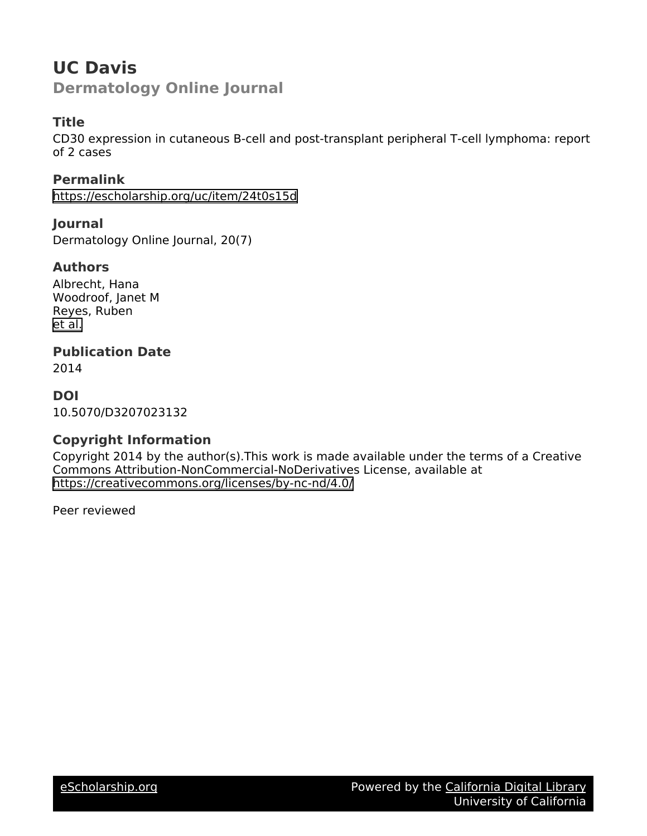# **UC Davis Dermatology Online Journal**

### **Title**

CD30 expression in cutaneous B-cell and post-transplant peripheral T-cell lymphoma: report of 2 cases

**Permalink** <https://escholarship.org/uc/item/24t0s15d>

**Journal** Dermatology Online Journal, 20(7)

#### **Authors**

Albrecht, Hana Woodroof, Janet M Reyes, Ruben [et al.](https://escholarship.org/uc/item/24t0s15d#author)

**Publication Date**

2014

### **DOI**

10.5070/D3207023132

### **Copyright Information**

Copyright 2014 by the author(s).This work is made available under the terms of a Creative Commons Attribution-NonCommercial-NoDerivatives License, available at <https://creativecommons.org/licenses/by-nc-nd/4.0/>

Peer reviewed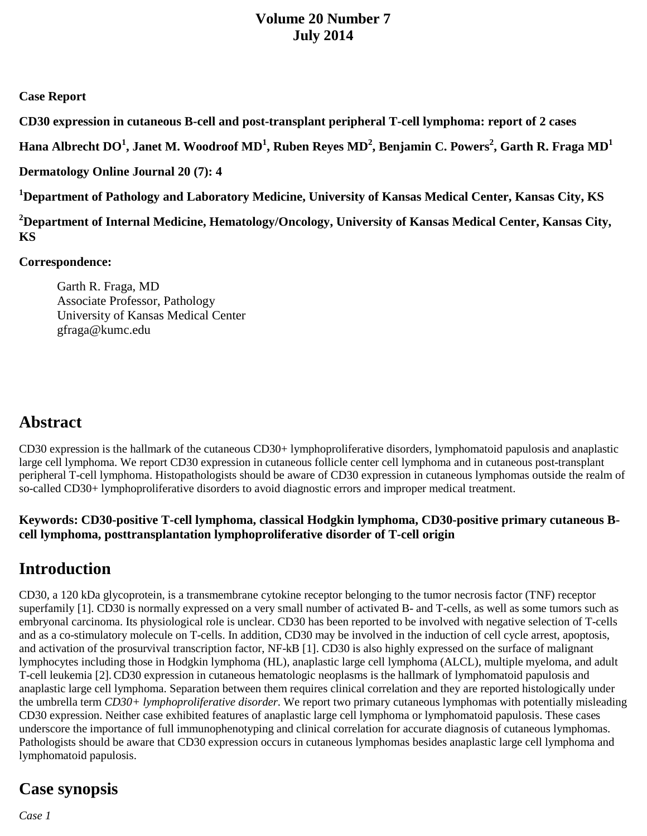### **Volume 20 Number 7 July 2014**

#### **Case Report**

**CD30 expression in cutaneous B-cell and post-transplant peripheral T-cell lymphoma: report of 2 cases** 

 $\bf{H}$ ana Albrecht DO $^1$ , Janet M. Woodroof MD $^1$ , Ruben Reyes MD $^2$ , Benjamin C. Powers $^2$ , Garth R. Fraga MD $^1$ 

**Dermatology Online Journal 20 (7): 4**

**1 Department of Pathology and Laboratory Medicine, University of Kansas Medical Center, Kansas City, KS** 

**2 Department of Internal Medicine, Hematology/Oncology, University of Kansas Medical Center, Kansas City, KS**

#### **Correspondence:**

Garth R. Fraga, MD Associate Professor, Pathology University of Kansas Medical Center gfraga@kumc.edu

# **Abstract**

CD30 expression is the hallmark of the cutaneous CD30+ lymphoproliferative disorders, lymphomatoid papulosis and anaplastic large cell lymphoma. We report CD30 expression in cutaneous follicle center cell lymphoma and in cutaneous post-transplant peripheral T-cell lymphoma. Histopathologists should be aware of CD30 expression in cutaneous lymphomas outside the realm of so-called CD30+ lymphoproliferative disorders to avoid diagnostic errors and improper medical treatment.

#### **Keywords: CD30-positive T-cell lymphoma, classical Hodgkin lymphoma, CD30-positive primary cutaneous Bcell lymphoma, posttransplantation lymphoproliferative disorder of T-cell origin**

# **Introduction**

CD30, a 120 kDa glycoprotein, is a transmembrane cytokine receptor belonging to the tumor necrosis factor (TNF) receptor superfamily [1]. CD30 is normally expressed on a very small number of activated B- and T-cells, as well as some tumors such as embryonal carcinoma. Its physiological role is unclear. CD30 has been reported to be involved with negative selection of T-cells and as a co-stimulatory molecule on T-cells. In addition, CD30 may be involved in the induction of cell cycle arrest, apoptosis, and activation of the prosurvival transcription factor, NF-kB [1]. CD30 is also highly expressed on the surface of malignant lymphocytes including those in Hodgkin lymphoma (HL), anaplastic large cell lymphoma (ALCL), multiple myeloma, and adult T-cell leukemia [2].CD30 expression in cutaneous hematologic neoplasms is the hallmark of lymphomatoid papulosis and anaplastic large cell lymphoma. Separation between them requires clinical correlation and they are reported histologically under the umbrella term *CD30+ lymphoproliferative disorder*. We report two primary cutaneous lymphomas with potentially misleading CD30 expression. Neither case exhibited features of anaplastic large cell lymphoma or lymphomatoid papulosis. These cases underscore the importance of full immunophenotyping and clinical correlation for accurate diagnosis of cutaneous lymphomas. Pathologists should be aware that CD30 expression occurs in cutaneous lymphomas besides anaplastic large cell lymphoma and lymphomatoid papulosis.

# **Case synopsis**

*Case 1*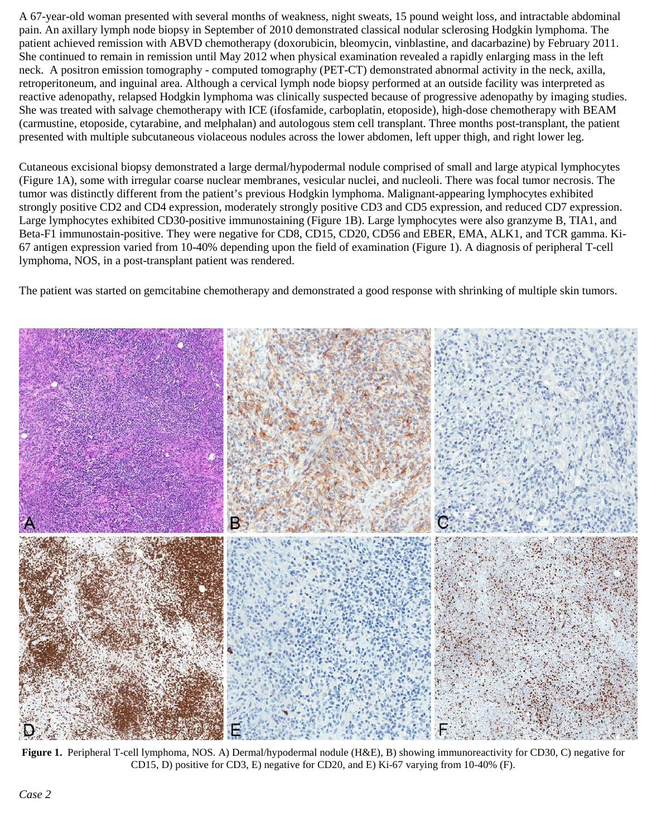A 67-year-old woman presented with several months of weakness, night sweats, 15 pound weight loss, and intractable abdominal pain. An axillary lymph node biopsy in September of 2010 demonstrated classical nodular sclerosing Hodgkin lymphoma. The patient achieved remission with ABVD chemotherapy (doxorubicin, bleomycin, vinblastine, and dacarbazine) by February 2011. She continued to remain in remission until May 2012 when physical examination revealed a rapidly enlarging mass in the left neck. A positron emission tomography - computed tomography (PET-CT) demonstrated abnormal activity in the neck, axilla, retroperitoneum, and inguinal area. Although a cervical lymph node biopsy performed at an outside facility was interpreted as reactive adenopathy, relapsed Hodgkin lymphoma was clinically suspected because of progressive adenopathy by imaging studies. She was treated with salvage chemotherapy with ICE (ifosfamide, carboplatin, etoposide), high-dose chemotherapy with BEAM (carmustine, etoposide, cytarabine, and melphalan) and autologous stem cell transplant. Three months post-transplant, the patient presented with multiple subcutaneous violaceous nodules across the lower abdomen, left upper thigh, and right lower leg.

Cutaneous excisional biopsy demonstrated a large dermal/hypodermal nodule comprised of small and large atypical lymphocytes (Figure 1A), some with irregular coarse nuclear membranes, vesicular nuclei, and nucleoli. There was focal tumor necrosis. The tumor was distinctly different from the patient's previous Hodgkin lymphoma. Malignant-appearing lymphocytes exhibited strongly positive CD2 and CD4 expression, moderately strongly positive CD3 and CD5 expression, and reduced CD7 expression. Large lymphocytes exhibited CD30-positive immunostaining (Figure 1B). Large lymphocytes were also granzyme B, TIA1, and Beta-F1 immunostain-positive. They were negative for CD8, CD15, CD20, CD56 and EBER, EMA, ALK1, and TCR gamma. Ki-67 antigen expression varied from 10-40% depending upon the field of examination (Figure 1). A diagnosis of peripheral T-cell lymphoma, NOS, in a post-transplant patient was rendered.

The patient was started on gemcitabine chemotherapy and demonstrated a good response with shrinking of multiple skin tumors.



**Figure 1.** Peripheral T-cell lymphoma, NOS. A) Dermal/hypodermal nodule (H&E), B) showing immunoreactivity for CD30, C) negative for CD15, D) positive for CD3, E) negative for CD20, and E) Ki-67 varying from 10-40% (F).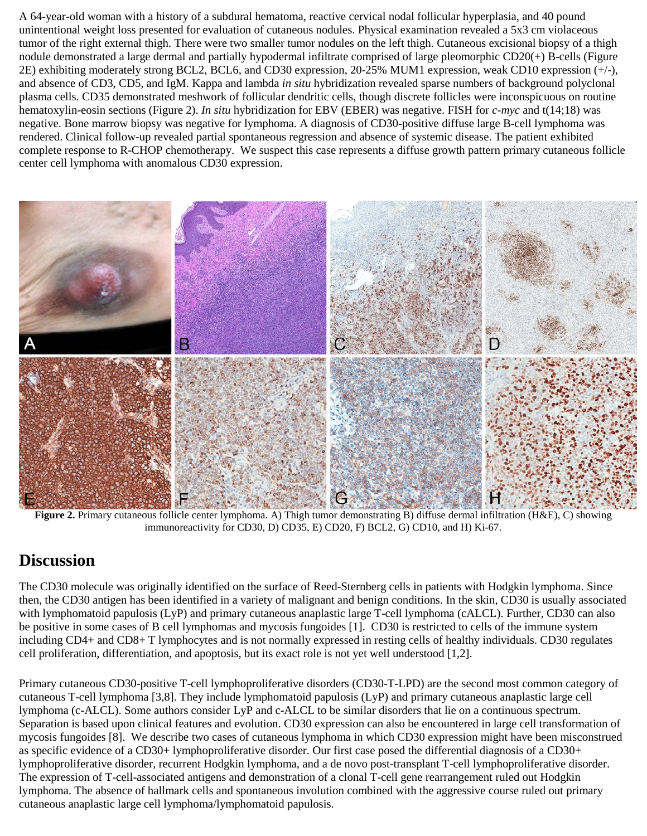A 64-year-old woman with a history of a subdural hematoma, reactive cervical nodal follicular hyperplasia, and 40 pound unintentional weight loss presented for evaluation of cutaneous nodules. Physical examination revealed a 5x3 cm violaceous tumor of the right external thigh. There were two smaller tumor nodules on the left thigh. Cutaneous excisional biopsy of a thigh nodule demonstrated a large dermal and partially hypodermal infiltrate comprised of large pleomorphic CD20(+) B-cells (Figure 2E) exhibiting moderately strong BCL2, BCL6, and CD30 expression, 20-25% MUM1 expression, weak CD10 expression (+/-), and absence of CD3, CD5, and IgM. Kappa and lambda *in situ* hybridization revealed sparse numbers of background polyclonal plasma cells. CD35 demonstrated meshwork of follicular dendritic cells, though discrete follicles were inconspicuous on routine hematoxylin-eosin sections (Figure 2). *In situ* hybridization for EBV (EBER) was negative. FISH for *c-myc* and t(14;18) was negative. Bone marrow biopsy was negative for lymphoma. A diagnosis of CD30-positive diffuse large B-cell lymphoma was rendered. Clinical follow-up revealed partial spontaneous regression and absence of systemic disease. The patient exhibited complete response to R-CHOP chemotherapy. We suspect this case represents a diffuse growth pattern primary cutaneous follicle center cell lymphoma with anomalous CD30 expression.



**Figure 2.** Primary cutaneous follicle center lymphoma. A) Thigh tumor demonstrating B) diffuse dermal infiltration (H&E), C) showing immunoreactivity for CD30, D) CD35, E) CD20, F) BCL2, G) CD10, and H) Ki-67.

## **Discussion**

The CD30 molecule was originally identified on the surface of Reed-Sternberg cells in patients with Hodgkin lymphoma. Since then, the CD30 antigen has been identified in a variety of malignant and benign conditions. In the skin, CD30 is usually associated with lymphomatoid papulosis (LyP) and primary cutaneous anaplastic large T-cell lymphoma (cALCL). Further, CD30 can also be positive in some cases of B cell lymphomas and mycosis fungoides [1]. CD30 is restricted to cells of the immune system including CD4+ and CD8+ T lymphocytes and is not normally expressed in resting cells of healthy individuals. CD30 regulates cell proliferation, differentiation, and apoptosis, but its exact role is not yet well understood [1,2].

Primary cutaneous CD30-positive T-cell lymphoproliferative disorders (CD30-T-LPD) are the second most common category of cutaneous T-cell lymphoma [3,8]. They include lymphomatoid papulosis (LyP) and primary cutaneous anaplastic large cell lymphoma (c-ALCL). Some authors consider LyP and c-ALCL to be similar disorders that lie on a continuous spectrum. Separation is based upon clinical features and evolution. CD30 expression can also be encountered in large cell transformation of mycosis fungoides [8]. We describe two cases of cutaneous lymphoma in which CD30 expression might have been misconstrued as specific evidence of a CD30+ lymphoproliferative disorder. Our first case posed the differential diagnosis of a CD30+ lymphoproliferative disorder, recurrent Hodgkin lymphoma, and a de novo post-transplant T-cell lymphoproliferative disorder. The expression of T-cell-associated antigens and demonstration of a clonal T-cell gene rearrangement ruled out Hodgkin lymphoma. The absence of hallmark cells and spontaneous involution combined with the aggressive course ruled out primary cutaneous anaplastic large cell lymphoma/lymphomatoid papulosis.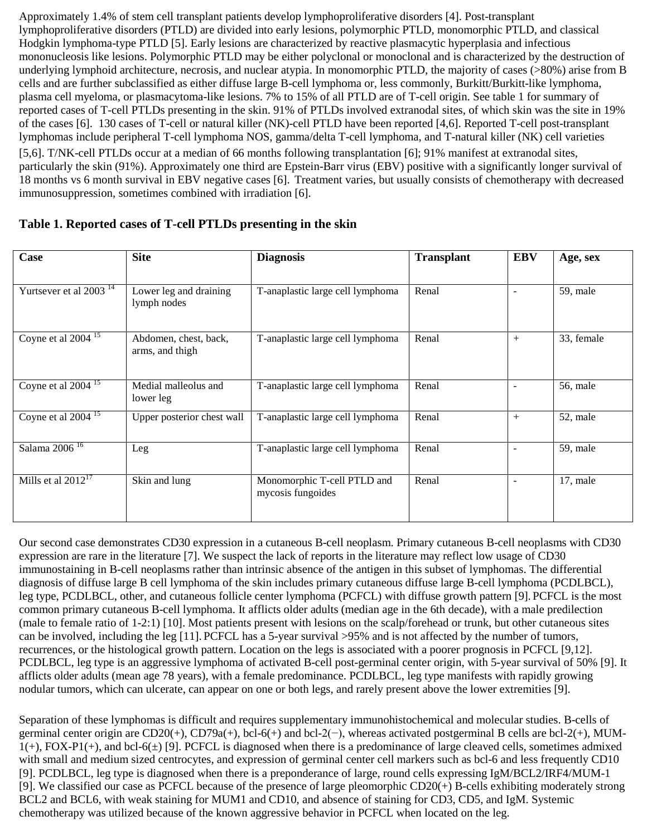Approximately 1.4% of stem cell transplant patients develop lymphoproliferative disorders [4]. Post-transplant lymphoproliferative disorders (PTLD) are divided into early lesions, polymorphic PTLD, monomorphic PTLD, and classical Hodgkin lymphoma-type PTLD [5]. Early lesions are characterized by reactive plasmacytic hyperplasia and infectious mononucleosis like lesions. Polymorphic PTLD may be either polyclonal or monoclonal and is characterized by the destruction of underlying lymphoid architecture, necrosis, and nuclear atypia. In monomorphic PTLD, the majority of cases (>80%) arise from B cells and are further subclassified as either diffuse large B-cell lymphoma or, less commonly, Burkitt/Burkitt-like lymphoma, plasma cell myeloma, or plasmacytoma-like lesions. 7% to 15% of all PTLD are of T-cell origin. See table 1 for summary of reported cases of T-cell PTLDs presenting in the skin. 91% of PTLDs involved extranodal sites, of which skin was the site in 19% of the cases [6]. 130 cases of T-cell or natural killer (NK)-cell PTLD have been reported [4,6]. Reported T-cell post-transplant lymphomas include peripheral T-cell lymphoma NOS, gamma/delta T-cell lymphoma, and T-natural killer (NK) cell varieties [5,6]. T/NK-cell PTLDs occur at a median of 66 months following transplantation [6]; 91% manifest at extranodal sites, particularly the skin (91%). Approximately one third are Epstein-Barr virus (EBV) positive with a significantly longer survival of 18 months vs 6 month survival in EBV negative cases [6]. Treatment varies, but usually consists of chemotherapy with decreased immunosuppression, sometimes combined with irradiation [6].

| Case                               | <b>Site</b>                              | <b>Diagnosis</b>                                 | <b>Transplant</b> | <b>EBV</b>               | Age, sex   |
|------------------------------------|------------------------------------------|--------------------------------------------------|-------------------|--------------------------|------------|
|                                    |                                          |                                                  |                   |                          |            |
| Yurtsever et al 2003 <sup>14</sup> | Lower leg and draining<br>lymph nodes    | T-anaplastic large cell lymphoma                 | Renal             | $\overline{\phantom{a}}$ | 59, male   |
| Coyne et al $2004^{15}$            | Abdomen, chest, back,<br>arms, and thigh | T-anaplastic large cell lymphoma                 | Renal             | $+$                      | 33, female |
| Coyne et al $2004$ <sup>15</sup>   | Medial malleolus and<br>lower leg        | T-anaplastic large cell lymphoma                 | Renal             | $\equiv$                 | 56, male   |
| Coyne et al $2004$ <sup>15</sup>   | Upper posterior chest wall               | T-anaplastic large cell lymphoma                 | Renal             | $^{+}$                   | 52, male   |
| Salama 2006 $\frac{16}{16}$        | Leg                                      | T-anaplastic large cell lymphoma                 | Renal             | $\blacksquare$           | 59, male   |
| Mills et al $2012^{17}$            | Skin and lung                            | Monomorphic T-cell PTLD and<br>mycosis fungoides | Renal             | $\overline{\phantom{a}}$ | 17, male   |

#### **Table 1. Reported cases of T-cell PTLDs presenting in the skin**

Our second case demonstrates CD30 expression in a cutaneous B-cell neoplasm. Primary cutaneous B-cell neoplasms with CD30 expression are rare in the literature [7]. We suspect the lack of reports in the literature may reflect low usage of CD30 immunostaining in B-cell neoplasms rather than intrinsic absence of the antigen in this subset of lymphomas. The differential diagnosis of diffuse large B cell lymphoma of the skin includes primary cutaneous diffuse large B-cell lymphoma (PCDLBCL), leg type, PCDLBCL, other, and cutaneous follicle center lymphoma (PCFCL) with diffuse growth pattern [9]. PCFCL is the most common primary cutaneous B-cell lymphoma. It afflicts older adults (median age in the 6th decade), with a male predilection (male to female ratio of 1-2:1) [10]. Most patients present with lesions on the scalp/forehead or trunk, but other cutaneous sites can be involved, including the leg [11]. PCFCL has a 5-year survival >95% and is not affected by the number of tumors, recurrences, or the histological growth pattern. Location on the legs is associated with a poorer prognosis in PCFCL [9,12]. PCDLBCL, leg type is an aggressive lymphoma of activated B-cell post-germinal center origin, with 5-year survival of 50% [9]. It afflicts older adults (mean age 78 years), with a female predominance. PCDLBCL, leg type manifests with rapidly growing nodular tumors, which can ulcerate, can appear on one or both legs, and rarely present above the lower extremities [9].

Separation of these lymphomas is difficult and requires supplementary immunohistochemical and molecular studies. B-cells of germinal center origin are CD20(+), CD79a(+), bcl-6(+) and bcl-2(−), whereas activated postgerminal B cells are bcl-2(+), MUM- $1(+)$ , FOX-P1(+), and bcl-6( $\pm$ ) [9]. PCFCL is diagnosed when there is a predominance of large cleaved cells, sometimes admixed with small and medium sized centrocytes, and expression of germinal center cell markers such as bcl-6 and less frequently CD10 [9]. PCDLBCL, leg type is diagnosed when there is a preponderance of large, round cells expressing IgM/BCL2/IRF4/MUM-1 [9]. We classified our case as PCFCL because of the presence of large pleomorphic CD20(+) B-cells exhibiting moderately strong BCL2 and BCL6, with weak staining for MUM1 and CD10, and absence of staining for CD3, CD5, and IgM. Systemic chemotherapy was utilized because of the known aggressive behavior in PCFCL when located on the leg.